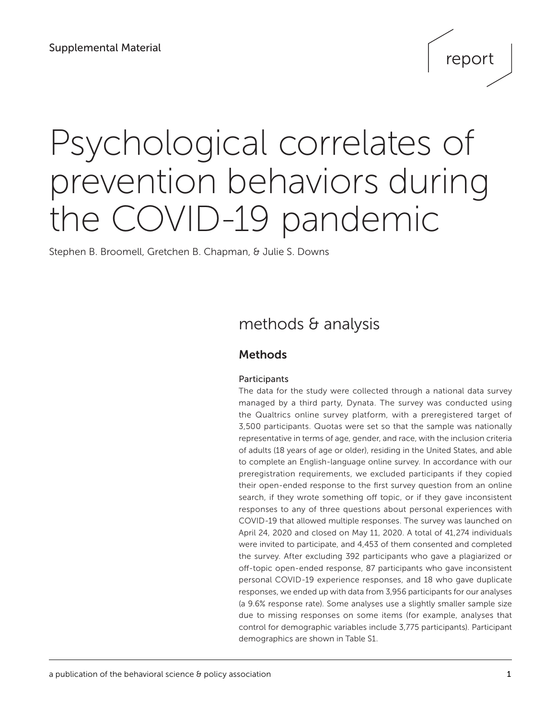report

# Psychological correlates of prevention behaviors during the COVID-19 pandemic

Stephen B. Broomell, Gretchen B. Chapman, & Julie S. Downs

# methods & analysis

# Methods

### **Participants**

The data for the study were collected through a national data survey managed by a third party, Dynata. The survey was conducted using the Qualtrics online survey platform, with a preregistered target of 3,500 participants. Quotas were set so that the sample was nationally representative in terms of age, gender, and race, with the inclusion criteria of adults (18 years of age or older), residing in the United States, and able to complete an English-language online survey. In accordance with our preregistration requirements, we excluded participants if they copied their open-ended response to the first survey question from an online search, if they wrote something off topic, or if they gave inconsistent responses to any of three questions about personal experiences with COVID-19 that allowed multiple responses. The survey was launched on April 24, 2020 and closed on May 11, 2020. A total of 41,274 individuals were invited to participate, and 4,453 of them consented and completed the survey. After excluding 392 participants who gave a plagiarized or off-topic open-ended response, 87 participants who gave inconsistent personal COVID-19 experience responses, and 18 who gave duplicate responses, we ended up with data from 3,956 participants for our analyses (a 9.6% response rate). Some analyses use a slightly smaller sample size due to missing responses on some items (for example, analyses that control for demographic variables include 3,775 participants). Participant demographics are shown in Table S1.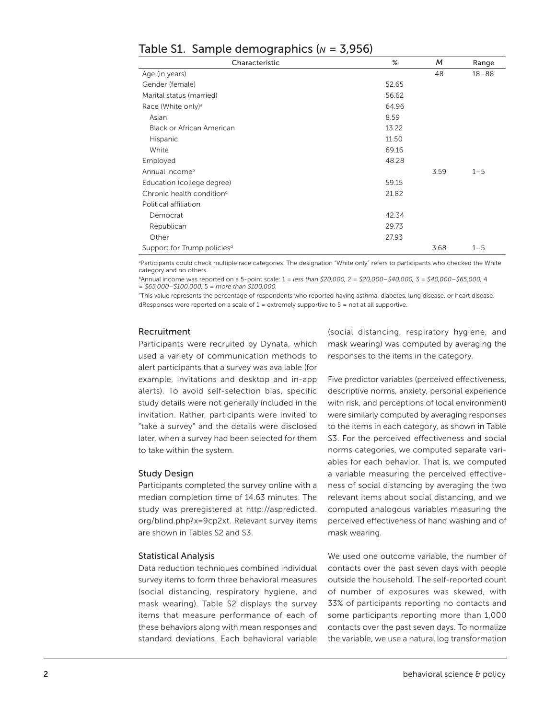| Characteristic                          | $\%$  | M    | Range     |
|-----------------------------------------|-------|------|-----------|
| Age (in years)                          |       | 48   | $18 - 88$ |
| Gender (female)                         | 52.65 |      |           |
| Marital status (married)                | 56.62 |      |           |
| Race (White only) <sup>a</sup>          | 64.96 |      |           |
| Asian                                   | 8.59  |      |           |
| Black or African American               | 13.22 |      |           |
| Hispanic                                | 11.50 |      |           |
| White                                   | 69.16 |      |           |
| Employed                                | 48.28 |      |           |
| Annual income <sup>b</sup>              |       | 3.59 | $1 - 5$   |
| Education (college degree)              | 59.15 |      |           |
| Chronic health condition <sup>c</sup>   | 21.82 |      |           |
| Political affiliation                   |       |      |           |
| Democrat                                | 42.34 |      |           |
| Republican                              | 29.73 |      |           |
| Other                                   | 27.93 |      |           |
| Support for Trump policies <sup>d</sup> |       | 3.68 | $1 - 5$   |

## Table S1. Sample demographics (*N* = 3,956)

<sup>a</sup>Participants could check multiple race categories. The designation "White only" refers to participants who checked the White category and no others.

bAnnual income was reported on a 5-point scale: 1 = *less than \$20,000,* 2 = *\$20,000–\$40,000,* 3 = *\$40,000–\$65,000,* 4 = *\$65,000–\$100,000,* 5 = *more than \$100,000.*

c This value represents the percentage of respondents who reported having asthma, diabetes, lung disease, or heart disease. dResponses were reported on a scale of  $1 =$  extremely supportive to  $5 =$  not at all supportive.

#### Recruitment

Participants were recruited by Dynata, which used a variety of communication methods to alert participants that a survey was available (for example, invitations and desktop and in-app alerts). To avoid self-selection bias, specific study details were not generally included in the invitation. Rather, participants were invited to "take a survey" and the details were disclosed later, when a survey had been selected for them to take within the system.

#### Study Design

Participants completed the survey online with a median completion time of 14.63 minutes. The study was preregistered at [http://aspredicted.](http://aspredicted.org/blind.php?x=9cp2xt) [org/blind.php?x=9cp2xt.](http://aspredicted.org/blind.php?x=9cp2xt) Relevant survey items are shown in Tables S2 and S3.

#### Statistical Analysis

Data reduction techniques combined individual survey items to form three behavioral measures (social distancing, respiratory hygiene, and mask wearing). Table S2 displays the survey items that measure performance of each of these behaviors along with mean responses and standard deviations. Each behavioral variable

(social distancing, respiratory hygiene, and mask wearing) was computed by averaging the responses to the items in the category.

Five predictor variables (perceived effectiveness, descriptive norms, anxiety, personal experience with risk, and perceptions of local environment) were similarly computed by averaging responses to the items in each category, as shown in Table S3. For the perceived effectiveness and social norms categories, we computed separate variables for each behavior. That is, we computed a variable measuring the perceived effectiveness of social distancing by averaging the two relevant items about social distancing, and we computed analogous variables measuring the perceived effectiveness of hand washing and of mask wearing.

We used one outcome variable, the number of contacts over the past seven days with people outside the household. The self-reported count of number of exposures was skewed, with 33% of participants reporting no contacts and some participants reporting more than 1,000 contacts over the past seven days. To normalize the variable, we use a natural log transformation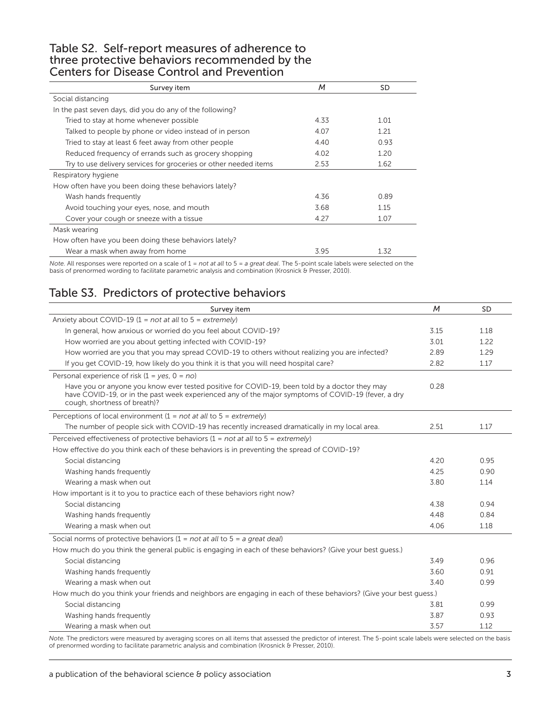## Table S2. Self-report measures of adherence to three protective behaviors recommended by the Centers for Disease Control and Prevention

| Survey item                                                      | м    | SD   |
|------------------------------------------------------------------|------|------|
| Social distancing                                                |      |      |
| In the past seven days, did you do any of the following?         |      |      |
| Tried to stay at home whenever possible                          | 4.33 | 1.01 |
| Talked to people by phone or video instead of in person          | 4.07 | 1.21 |
| Tried to stay at least 6 feet away from other people             | 4.40 | 0.93 |
| Reduced frequency of errands such as grocery shopping            | 4.02 | 1.20 |
| Try to use delivery services for groceries or other needed items | 2.53 | 1.62 |
| Respiratory hygiene                                              |      |      |
| How often have you been doing these behaviors lately?            |      |      |
| Wash hands frequently                                            | 4.36 | 0.89 |
| Avoid touching your eyes, nose, and mouth                        | 3.68 | 1.15 |
| Cover your cough or sneeze with a tissue                         | 4.27 | 1.07 |
| Mask wearing                                                     |      |      |
| How often have you been doing these behaviors lately?            |      |      |
| Wear a mask when away from home                                  | 3.95 | 1.32 |

*Note.* All responses were reported on a scale of 1 = *not at all* to 5 = *a great deal*. The 5-point scale labels were selected on the basis of prenormed wording to facilitate parametric analysis and combination (Krosnick & Presser, 2010).

# Table S3. Predictors of protective behaviors

| Survey item                                                                                                                                                                                                                         | M    | <b>SD</b> |
|-------------------------------------------------------------------------------------------------------------------------------------------------------------------------------------------------------------------------------------|------|-----------|
| Anxiety about COVID-19 (1 = not at all to 5 = extremely)                                                                                                                                                                            |      |           |
| In general, how anxious or worried do you feel about COVID-19?                                                                                                                                                                      | 3.15 | 1.18      |
| How worried are you about getting infected with COVID-19?                                                                                                                                                                           | 3.01 | 1.22      |
| How worried are you that you may spread COVID-19 to others without realizing you are infected?                                                                                                                                      | 2.89 | 1.29      |
| If you get COVID-19, how likely do you think it is that you will need hospital care?                                                                                                                                                | 2.82 | 1.17      |
| Personal experience of risk $(1 = yes, 0 = no)$                                                                                                                                                                                     |      |           |
| Have you or anyone you know ever tested positive for COVID-19, been told by a doctor they may<br>have COVID-19, or in the past week experienced any of the major symptoms of COVID-19 (fever, a dry<br>cough, shortness of breath)? | 0.28 |           |
| Perceptions of local environment $(1 = not at all to 5 = extremely)$                                                                                                                                                                |      |           |
| The number of people sick with COVID-19 has recently increased dramatically in my local area.                                                                                                                                       | 2.51 | 1.17      |
| Perceived effectiveness of protective behaviors $(1 = not at all to 5 = extremely)$                                                                                                                                                 |      |           |
| How effective do you think each of these behaviors is in preventing the spread of COVID-19?                                                                                                                                         |      |           |
| Social distancing                                                                                                                                                                                                                   | 4.20 | 0.95      |
| Washing hands frequently                                                                                                                                                                                                            | 4.25 | 0.90      |
| Wearing a mask when out                                                                                                                                                                                                             | 3.80 | 1.14      |
| How important is it to you to practice each of these behaviors right now?                                                                                                                                                           |      |           |
| Social distancing                                                                                                                                                                                                                   | 4.38 | 0.94      |
| Washing hands frequently                                                                                                                                                                                                            | 4.48 | 0.84      |
| Wearing a mask when out                                                                                                                                                                                                             | 4.06 | 1.18      |
| Social norms of protective behaviors (1 = not at all to 5 = a great deal)                                                                                                                                                           |      |           |
| How much do you think the general public is engaging in each of these behaviors? (Give your best quess.)                                                                                                                            |      |           |
| Social distancing                                                                                                                                                                                                                   | 3.49 | 0.96      |
| Washing hands frequently                                                                                                                                                                                                            | 3.60 | 0.91      |
| Wearing a mask when out                                                                                                                                                                                                             | 3.40 | 0.99      |
| How much do you think your friends and neighbors are engaging in each of these behaviors? (Give your best quess.)                                                                                                                   |      |           |
| Social distancing                                                                                                                                                                                                                   | 3.81 | 0.99      |
| Washing hands frequently                                                                                                                                                                                                            | 3.87 | 0.93      |
| Wearing a mask when out                                                                                                                                                                                                             | 3.57 | 1.12      |

*Note.* The predictors were measured by averaging scores on all items that assessed the predictor of interest. The 5-point scale labels were selected on the basis of prenormed wording to facilitate parametric analysis and combination (Krosnick & Presser, 2010).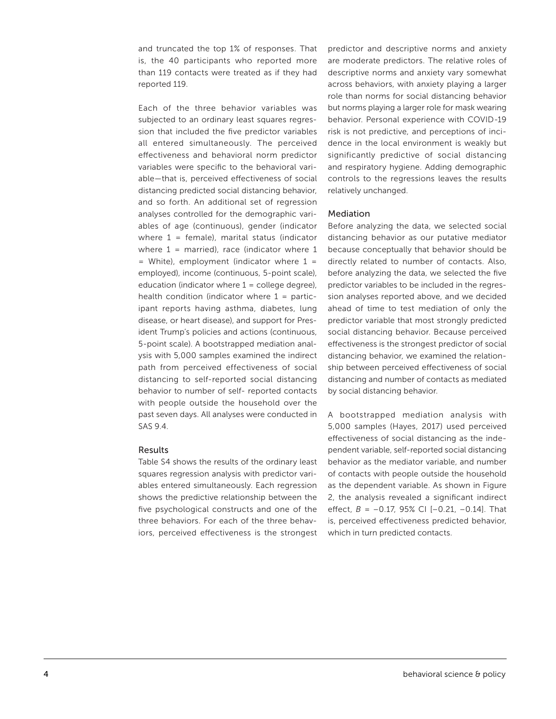and truncated the top 1% of responses. That is, the 40 participants who reported more than 119 contacts were treated as if they had reported 119.

Each of the three behavior variables was subjected to an ordinary least squares regression that included the five predictor variables all entered simultaneously. The perceived effectiveness and behavioral norm predictor variables were specific to the behavioral variable—that is, perceived effectiveness of social distancing predicted social distancing behavior, and so forth. An additional set of regression analyses controlled for the demographic variables of age (continuous), gender (indicator where  $1 =$  female), marital status (indicator where  $1 =$  married), race (indicator where  $1$  $=$  White), employment (indicator where  $1 =$ employed), income (continuous, 5-point scale), education (indicator where  $1 =$  college degree), health condition (indicator where  $1 =$  participant reports having asthma, diabetes, lung disease, or heart disease), and support for President Trump's policies and actions (continuous, 5-point scale). A bootstrapped mediation analysis with 5,000 samples examined the indirect path from perceived effectiveness of social distancing to self-reported social distancing behavior to number of self- reported contacts with people outside the household over the past seven days. All analyses were conducted in SAS 9.4.

#### Results

Table S4 shows the results of the ordinary least squares regression analysis with predictor variables entered simultaneously. Each regression shows the predictive relationship between the five psychological constructs and one of the three behaviors. For each of the three behaviors, perceived effectiveness is the strongest predictor and descriptive norms and anxiety are moderate predictors. The relative roles of descriptive norms and anxiety vary somewhat across behaviors, with anxiety playing a larger role than norms for social distancing behavior but norms playing a larger role for mask wearing behavior. Personal experience with COVID-19 risk is not predictive, and perceptions of incidence in the local environment is weakly but significantly predictive of social distancing and respiratory hygiene. Adding demographic controls to the regressions leaves the results relatively unchanged.

#### Mediation

Before analyzing the data, we selected social distancing behavior as our putative mediator because conceptually that behavior should be directly related to number of contacts. Also, before analyzing the data, we selected the five predictor variables to be included in the regression analyses reported above, and we decided ahead of time to test mediation of only the predictor variable that most strongly predicted social distancing behavior. Because perceived effectiveness is the strongest predictor of social distancing behavior, we examined the relationship between perceived effectiveness of social distancing and number of contacts as mediated by social distancing behavior.

A bootstrapped mediation analysis with 5,000 samples (Hayes, 2017) used perceived effectiveness of social distancing as the independent variable, self-reported social distancing behavior as the mediator variable, and number of contacts with people outside the household as the dependent variable. As shown in Figure 2, the analysis revealed a significant indirect effect, *B* = −0.17, 95% CI [−0.21, −0.14]. That is, perceived effectiveness predicted behavior, which in turn predicted contacts.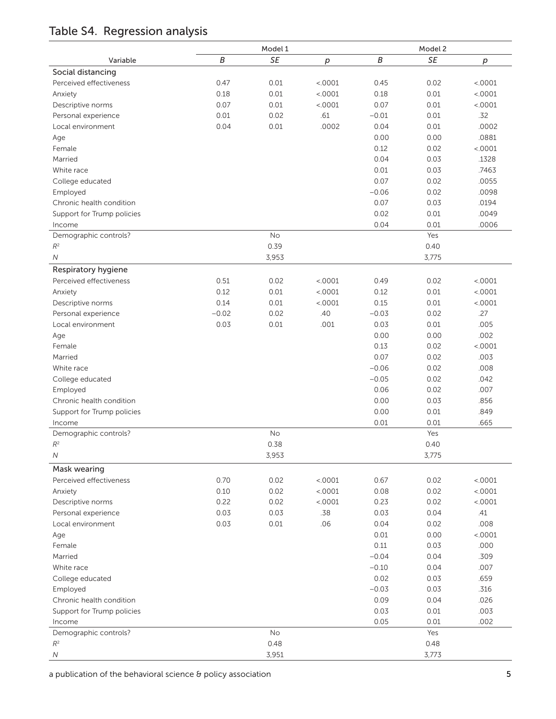# Table S4. Regression analysis

|                            | Model 1 |           | Model 2 |         |       |         |
|----------------------------|---------|-----------|---------|---------|-------|---------|
| Variable                   | B       | SE        | р       | B       | SE    | р       |
| Social distancing          |         |           |         |         |       |         |
| Perceived effectiveness    | 0.47    | 0.01      | < .0001 | 0.45    | 0.02  | < .0001 |
| Anxiety                    | 0.18    | 0.01      | < .0001 | 0.18    | 0.01  | < .0001 |
| Descriptive norms          | 0.07    | 0.01      | < .0001 | 0.07    | 0.01  | < .0001 |
| Personal experience        | 0.01    | 0.02      | .61     | $-0.01$ | 0.01  | .32     |
| Local environment          | 0.04    | 0.01      | .0002   | 0.04    | 0.01  | .0002   |
| Age                        |         |           |         | 0.00    | 0.00  | .0881   |
| Female                     |         |           |         | 0.12    | 0.02  | < .0001 |
| Married                    |         |           |         | 0.04    | 0.03  | .1328   |
| White race                 |         |           |         | 0.01    | 0.03  | .7463   |
| College educated           |         |           |         | 0.07    | 0.02  | .0055   |
| Employed                   |         |           |         | $-0.06$ | 0.02  | .0098   |
| Chronic health condition   |         |           |         | 0.07    | 0.03  | .0194   |
| Support for Trump policies |         |           |         | 0.02    | 0.01  | .0049   |
| Income                     |         |           |         | 0.04    | 0.01  | .0006   |
| Demographic controls?      |         | <b>No</b> |         |         | Yes   |         |
| $R^2$                      |         | 0.39      |         |         | 0.40  |         |
| N                          |         | 3,953     |         |         | 3,775 |         |
| Respiratory hygiene        |         |           |         |         |       |         |
| Perceived effectiveness    | 0.51    | 0.02      | < 0001  | 0.49    | 0.02  | < .0001 |
| Anxiety                    | 0.12    | 0.01      | < 0001  | 0.12    | 0.01  | < .0001 |
| Descriptive norms          | 0.14    | 0.01      | < .0001 | 0.15    | 0.01  | < .0001 |
| Personal experience        | $-0.02$ | 0.02      | .40     | $-0.03$ | 0.02  | .27     |
| Local environment          | 0.03    | 0.01      | .001    | 0.03    | 0.01  | .005    |
| Age                        |         |           |         | 0.00    | 0.00  | .002    |
| Female                     |         |           |         | 0.13    | 0.02  | < 0001  |
| Married                    |         |           |         | 0.07    | 0.02  | .003    |
| White race                 |         |           |         | $-0.06$ | 0.02  | .008    |
| College educated           |         |           |         | $-0.05$ | 0.02  | .042    |
| Employed                   |         |           |         | 0.06    | 0.02  | .007    |
| Chronic health condition   |         |           |         | 0.00    | 0.03  | .856    |
| Support for Trump policies |         |           |         | 0.00    | 0.01  | .849    |
| Income                     |         |           |         | 0.01    | 0.01  | .665    |
| Demographic controls?      |         | <b>No</b> |         |         | Yes   |         |
| $R^2$                      |         | 0.38      |         |         | 0.40  |         |
| ${\cal N}$                 |         | 3,953     |         |         | 3,775 |         |
| Mask wearing               |         |           |         |         |       |         |
| Perceived effectiveness    | 0.70    | 0.02      | < .0001 | 0.67    | 0.02  | < .0001 |
| Anxiety                    | 0.10    | 0.02      | < .0001 | 0.08    | 0.02  | < .0001 |
| Descriptive norms          | 0.22    | 0.02      | < .0001 | 0.23    | 0.02  | < .0001 |
| Personal experience        | 0.03    | 0.03      | .38     | 0.03    | 0.04  | .41     |
| Local environment          | 0.03    | 0.01      | .06     | 0.04    | 0.02  | .008    |
| Age                        |         |           |         | 0.01    | 0.00  | < .0001 |
| Female                     |         |           |         | 0.11    | 0.03  | .000    |
| Married                    |         |           |         | $-0.04$ | 0.04  | .309    |
| White race                 |         |           |         | $-0.10$ | 0.04  | .007    |
| College educated           |         |           |         | 0.02    | 0.03  | .659    |
| Employed                   |         |           |         | $-0.03$ | 0.03  | .316    |
| Chronic health condition   |         |           |         | 0.09    | 0.04  | .026    |
| Support for Trump policies |         |           |         | 0.03    | 0.01  | .003    |
| Income                     |         |           |         | 0.05    | 0.01  | .002    |
| Demographic controls?      |         | No        |         |         | Yes   |         |
| $R^2$                      |         | 0.48      |         |         | 0.48  |         |
| ${\cal N}$                 |         | 3,951     |         |         | 3,773 |         |

a publication of the behavioral science & policy association 5 5